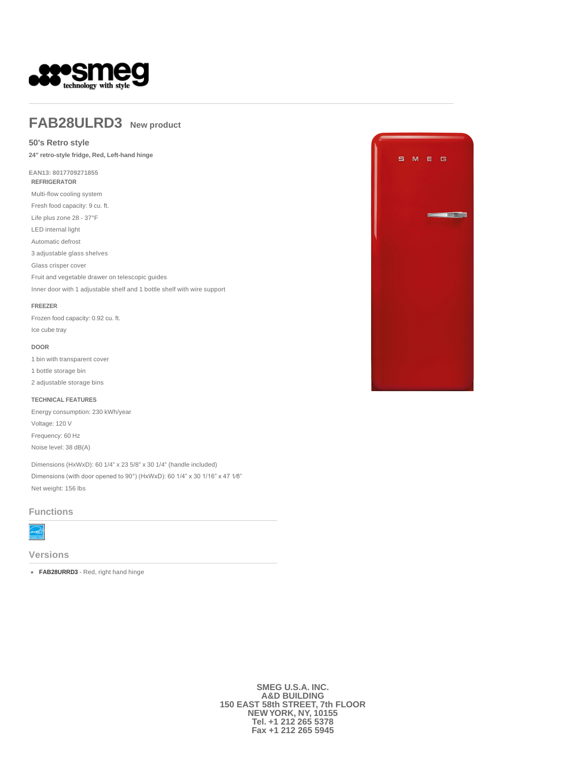

## **FAB28ULRD3 New product**

## **50's Retro style**

**24" retro-style fridge, Red, Left-hand hinge** 

**EAN13: 8017709271855 REFRIGERATOR**

Multi-flow cooling system

Fresh food capacity: 9 cu. ft.

Life plus zone 28 - 37°F

LED internal light Automatic defrost

3 adjustable glass shelves

Glass crisper cover

Fruit and vegetable drawer on telescopic guides

Inner door with 1 adjustable shelf and 1 bottle shelf with wire support

#### **FREEZER**

Frozen food capacity: 0.92 cu. ft. Ice cube tray

### **DOOR**

1 bin with transparent cover

- 1 bottle storage bin
- 2 adjustable storage bins

#### **TECHNICAL FEATURES**

Energy consumption: 230 kWh/year Voltage: 120 V Frequency: 60 Hz Noise level: 38 dB(A)

Dimensions (HxWxD): 60 1/4" x 23 5/8" x 30 1/4" (handle included) Dimensions (with door opened to 90°) (HxWxD): 60 1/4" x 30 1/16" x 47 1⁄8" Net weight: 156 lbs

## **Functions**



**Versions**

**FAB28URRD3** - Red, right hand hinge



**SMEG U.S.A. INC. A&D BUILDING 150 EAST 58th STREET, 7th FLOOR NEW YORK, NY, 10155 Tel. +1 212 265 5378 Fax +1 212 265 5945**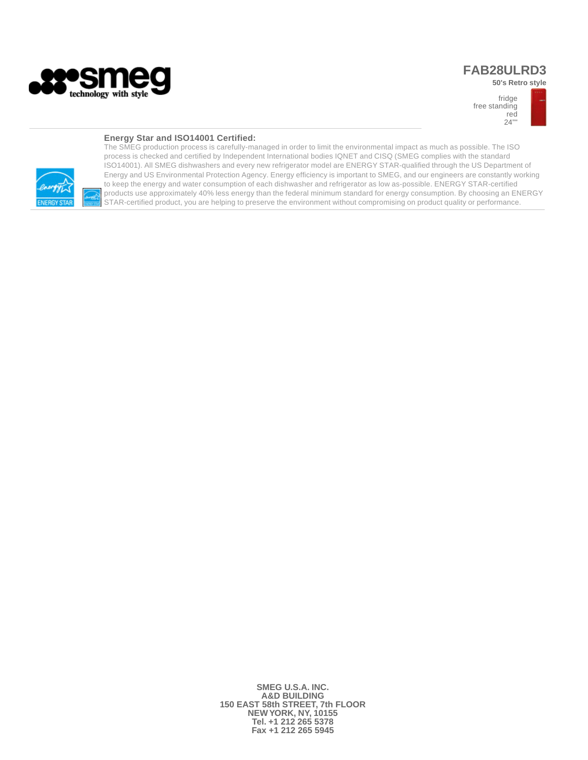

## **FAB28ULRD3**

**50's Retro style** 



## **Energy Star and ISO14001 Certified:**



The SMEG production process is carefully-managed in order to limit the environmental impact as much as possible. The ISO process is checked and certified by Independent International bodies IQNET and CISQ (SMEG complies with the standard ISO14001). All SMEG dishwashers and every new refrigerator model are ENERGY STAR-qualified through the US Department of Energy and US Environmental Protection Agency. Energy efficiency is important to SMEG, and our engineers are constantly working to keep the energy and water consumption of each dishwasher and refrigerator as low as-possible. ENERGY STAR-certified products use approximately 40% less energy than the federal minimum standard for energy consumption. By choosing an ENERGY STAR-certified product, you are helping to preserve the environment without compromising on product quality or performance.

> **SMEG U.S.A. INC. A&D BUILDING 150 EAST 58th STREET, 7th FLOOR NEW YORK, NY, 10155 Tel. +1 212 265 5378 Fax +1 212 265 5945**